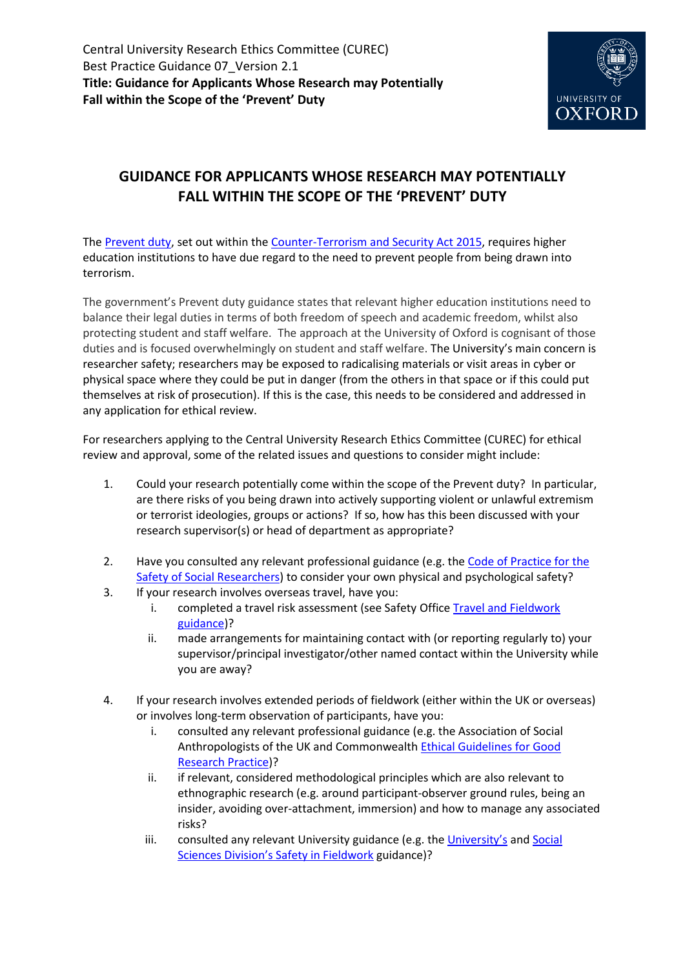

## **GUIDANCE FOR APPLICANTS WHOSE RESEARCH MAY POTENTIALLY FALL WITHIN THE SCOPE OF THE 'PREVENT' DUTY**

The [Prevent duty,](https://www.gov.uk/government/publications/prevent-duty-guidance/revised-prevent-duty-guidance-for-england-and-wales) set out within th[e Counter-Terrorism and Security Act 2015,](http://www.legislation.gov.uk/ukpga/2015/6/contents) requires higher education institutions to have due regard to the need to prevent people from being drawn into terrorism.

The government's Prevent duty guidance states that relevant higher education institutions need to balance their legal duties in terms of both freedom of speech and academic freedom, whilst also protecting student and staff welfare. The approach at the University of Oxford is cognisant of those duties and is focused overwhelmingly on student and staff welfare. The University's main concern is researcher safety; researchers may be exposed to radicalising materials or visit areas in cyber or physical space where they could be put in danger (from the others in that space or if this could put themselves at risk of prosecution). If this is the case, this needs to be considered and addressed in any application for ethical review.

For researchers applying to the Central University Research Ethics Committee (CUREC) for ethical review and approval, some of the related issues and questions to consider might include:

- 1. Could your research potentially come within the scope of the Prevent duty? In particular, are there risks of you being drawn into actively supporting violent or unlawful extremism or terrorist ideologies, groups or actions? If so, how has this been discussed with your research supervisor(s) or head of department as appropriate?
- 2. Have you consulted any relevant professional guidance (e.g. th[e Code of Practice for the](https://the-sra.org.uk/common/Uploaded%20files/SRA-safety-code-of-practice.pdf)  [Safety of Social Researchers\)](https://the-sra.org.uk/common/Uploaded%20files/SRA-safety-code-of-practice.pdf) to consider your own physical and psychological safety?
- 3. If your research involves overseas travel, have you:
	- i. completed a travel risk assessment (see Safety Office Travel and Fieldwork [guidance\)](https://safety.admin.ox.ac.uk/travel-and-fieldwork)?
	- ii. made arrangements for maintaining contact with (or reporting regularly to) your supervisor/principal investigator/other named contact within the University while you are away?
- 4. If your research involves extended periods of fieldwork (either within the UK or overseas) or involves long-term observation of participants, have you:
	- i. consulted any relevant professional guidance (e.g. the Association of Social Anthropologists of the UK and Commonwealth **Ethical Guidelines for Good** [Research Practice\)](http://www.theasa.org/ethics/guidelines.shtml)?
	- ii. if relevant, considered methodological principles which are also relevant to ethnographic research (e.g. around participant-observer ground rules, being an insider, avoiding over-attachment, immersion) and how to manage any associated risks?
	- iii. consulted any relevant University guidance (e.g. the [University's](http://www.admin.ox.ac.uk/safety/policy-statements/s5-07/) and Social [Sciences Division's Safety in Fieldwork](https://www.socsci.ox.ac.uk/research-fieldwork) guidance)?